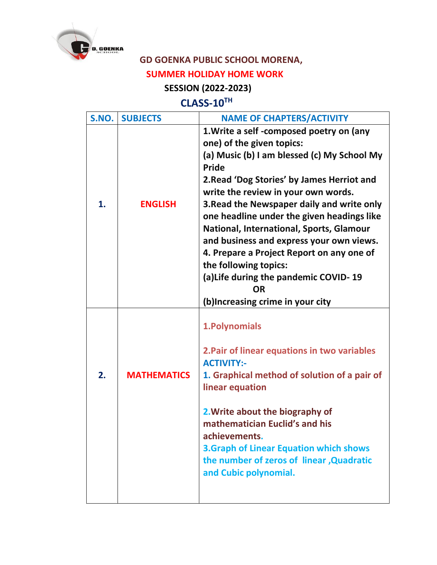

## **GD GOENKA PUBLIC SCHOOL MORENA,**

## **SUMMER HOLIDAY HOME WORK**

## **SESSION (2022-2023)**

## **CLASS-10TH**

| S.NO. | <b>SUBJECTS</b>    | <b>NAME OF CHAPTERS/ACTIVITY</b>                                                                                                                                                                                                                                                                                                                                                                                                                                                                                                                                                     |
|-------|--------------------|--------------------------------------------------------------------------------------------------------------------------------------------------------------------------------------------------------------------------------------------------------------------------------------------------------------------------------------------------------------------------------------------------------------------------------------------------------------------------------------------------------------------------------------------------------------------------------------|
| 1.    | <b>ENGLISH</b>     | 1. Write a self-composed poetry on (any<br>one) of the given topics:<br>(a) Music (b) I am blessed (c) My School My<br><b>Pride</b><br>2. Read 'Dog Stories' by James Herriot and<br>write the review in your own words.<br>3. Read the Newspaper daily and write only<br>one headline under the given headings like<br><b>National, International, Sports, Glamour</b><br>and business and express your own views.<br>4. Prepare a Project Report on any one of<br>the following topics:<br>(a) Life during the pandemic COVID-19<br><b>OR</b><br>(b) Increasing crime in your city |
| 2.    | <b>MATHEMATICS</b> | 1. Polynomials<br>2. Pair of linear equations in two variables<br><b>ACTIVITY:-</b><br>1. Graphical method of solution of a pair of<br>linear equation<br>2. Write about the biography of<br>mathematician Euclid's and his<br>achievements.<br><b>3.Graph of Linear Equation which shows</b><br>the number of zeros of linear, Quadratic<br>and Cubic polynomial.                                                                                                                                                                                                                   |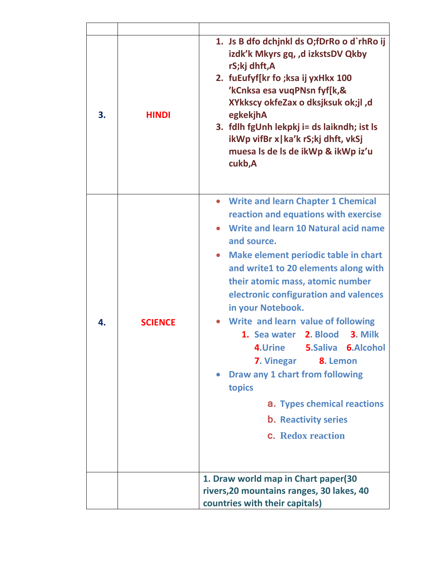| 3. | <b>HINDI</b>   | 1. Js B dfo dchjnkl ds O;fDrRo o d`rhRo ij<br>izdk'k Mkyrs gq, ,d izkstsDV Qkby<br>rS;kj dhft,A<br>2. fuEufyf[kr fo ;ksa ij yxHkx 100<br>'kCnksa esa vuqPNsn fyf[k,&<br>XYkkscy okfeZax o dksjksuk ok;jl, d<br>egkekjhA<br>3. fdlh fgUnh lekpkj i= ds laikndh; ist ls<br>ikWp vifBr x   ka'k rS;kj dhft, vkSj<br>muesa Is de Is de ikWp & ikWp iz'u<br>cukb,A                                                                                                                                                                                                                                                                    |
|----|----------------|----------------------------------------------------------------------------------------------------------------------------------------------------------------------------------------------------------------------------------------------------------------------------------------------------------------------------------------------------------------------------------------------------------------------------------------------------------------------------------------------------------------------------------------------------------------------------------------------------------------------------------|
| 4. | <b>SCIENCE</b> | • Write and learn Chapter 1 Chemical<br>reaction and equations with exercise<br>Write and learn 10 Natural acid name<br>and source.<br>Make element periodic table in chart<br>$\bullet$<br>and write1 to 20 elements along with<br>their atomic mass, atomic number<br>electronic configuration and valences<br>in your Notebook.<br>Write and learn value of following<br>1. Sea water 2. Blood 3. Milk<br><b>5.Saliva 6.Alcohol</b><br>4.Urine<br><b>7. Vinegar</b><br>8. Lemon<br>Draw any 1 chart from following<br>topics<br><b>a.</b> Types chemical reactions<br><b>b.</b> Reactivity series<br><b>c.</b> Redox reaction |
|    |                | 1. Draw world map in Chart paper(30<br>rivers, 20 mountains ranges, 30 lakes, 40<br>countries with their capitals)                                                                                                                                                                                                                                                                                                                                                                                                                                                                                                               |